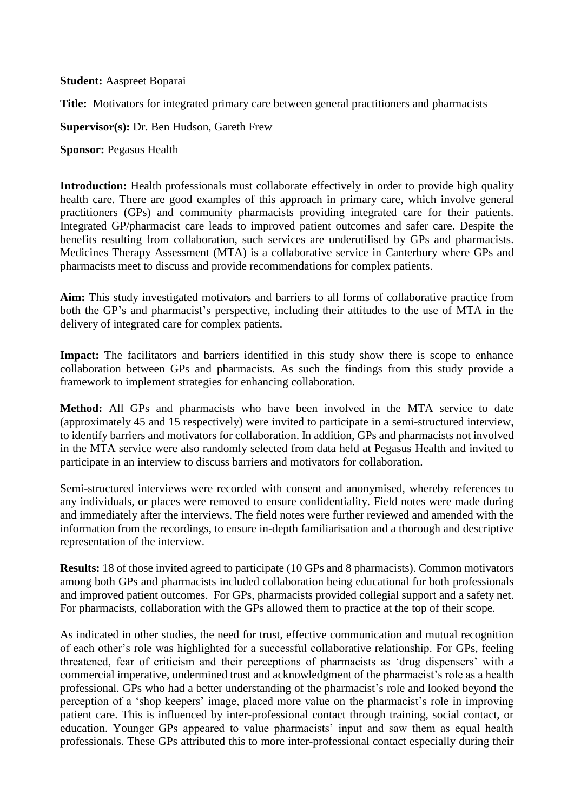**Student:** Aaspreet Boparai

**Title:** Motivators for integrated primary care between general practitioners and pharmacists

**Supervisor(s):** Dr. Ben Hudson, Gareth Frew

**Sponsor: Pegasus Health** 

**Introduction:** Health professionals must collaborate effectively in order to provide high quality health care. There are good examples of this approach in primary care, which involve general practitioners (GPs) and community pharmacists providing integrated care for their patients. Integrated GP/pharmacist care leads to improved patient outcomes and safer care. Despite the benefits resulting from collaboration, such services are underutilised by GPs and pharmacists. Medicines Therapy Assessment (MTA) is a collaborative service in Canterbury where GPs and pharmacists meet to discuss and provide recommendations for complex patients.

**Aim:** This study investigated motivators and barriers to all forms of collaborative practice from both the GP's and pharmacist's perspective, including their attitudes to the use of MTA in the delivery of integrated care for complex patients.

Impact: The facilitators and barriers identified in this study show there is scope to enhance collaboration between GPs and pharmacists. As such the findings from this study provide a framework to implement strategies for enhancing collaboration.

**Method:** All GPs and pharmacists who have been involved in the MTA service to date (approximately 45 and 15 respectively) were invited to participate in a semi-structured interview, to identify barriers and motivators for collaboration. In addition, GPs and pharmacists not involved in the MTA service were also randomly selected from data held at Pegasus Health and invited to participate in an interview to discuss barriers and motivators for collaboration.

Semi-structured interviews were recorded with consent and anonymised, whereby references to any individuals, or places were removed to ensure confidentiality. Field notes were made during and immediately after the interviews. The field notes were further reviewed and amended with the information from the recordings, to ensure in-depth familiarisation and a thorough and descriptive representation of the interview.

**Results:** 18 of those invited agreed to participate (10 GPs and 8 pharmacists). Common motivators among both GPs and pharmacists included collaboration being educational for both professionals and improved patient outcomes. For GPs, pharmacists provided collegial support and a safety net. For pharmacists, collaboration with the GPs allowed them to practice at the top of their scope.

As indicated in other studies, the need for trust, effective communication and mutual recognition of each other's role was highlighted for a successful collaborative relationship. For GPs, feeling threatened, fear of criticism and their perceptions of pharmacists as 'drug dispensers' with a commercial imperative, undermined trust and acknowledgment of the pharmacist's role as a health professional. GPs who had a better understanding of the pharmacist's role and looked beyond the perception of a 'shop keepers' image, placed more value on the pharmacist's role in improving patient care. This is influenced by inter-professional contact through training, social contact, or education. Younger GPs appeared to value pharmacists' input and saw them as equal health professionals. These GPs attributed this to more inter-professional contact especially during their